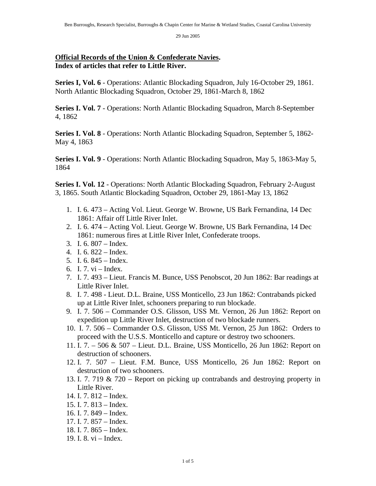## **Official Records of the Union & Confederate Navies. Index of articles that refer to Little River.**

**Series I, Vol. 6** - Operations: Atlantic Blockading Squadron, July 16-October 29, 1861. North Atlantic Blockading Squadron, October 29, 1861-March 8, 1862

**Series I. Vol. 7** - Operations: North Atlantic Blockading Squadron, March 8-September 4, 1862

**Series I. Vol. 8** - Operations: North Atlantic Blockading Squadron, September 5, 1862- May 4, 1863

**Series I. Vol. 9** - Operations: North Atlantic Blockading Squadron, May 5, 1863-May 5, 1864

**Series I. Vol. 12** - Operations: North Atlantic Blockading Squadron, February 2-August 3, 1865. South Atlantic Blockading Squadron, October 29, 1861-May 13, 1862

- 1. I. 6. 473 Acting Vol. Lieut. George W. Browne, US Bark Fernandina, 14 Dec 1861: Affair off Little River Inlet.
- 2. I. 6. 474 Acting Vol. Lieut. George W. Browne, US Bark Fernandina, 14 Dec 1861: numerous fires at Little River Inlet, Confederate troops.
- 3. I. 6. 807 Index.
- 4. I. 6. 822 Index.
- 5. I. 6. 845 Index.
- 6. I. 7. vi Index.
- 7. I. 7. 493 Lieut. Francis M. Bunce, USS Penobscot, 20 Jun 1862: Bar readings at Little River Inlet.
- 8. I. 7. 498 Lieut. D.L. Braine, USS Monticello, 23 Jun 1862: Contrabands picked up at Little River Inlet, schooners preparing to run blockade.
- 9. I. 7. 506 Commander O.S. Glisson, USS Mt. Vernon, 26 Jun 1862: Report on expedition up Little River Inlet, destruction of two blockade runners.
- 10. I. 7. 506 Commander O.S. Glisson, USS Mt. Vernon, 25 Jun 1862: Orders to proceed with the U.S.S. Monticello and capture or destroy two schooners.
- 11. I. 7. 506 & 507 Lieut. D.L. Braine, USS Monticello, 26 Jun 1862: Report on destruction of schooners.
- 12. I. 7. 507 Lieut. F.M. Bunce, USS Monticello, 26 Jun 1862: Report on destruction of two schooners.
- 13. I. 7. 719 & 720 Report on picking up contrabands and destroying property in Little River.
- 14. I. 7. 812 Index.
- 15. I. 7. 813 Index.
- 16. I. 7. 849 Index.
- 17. I. 7. 857 Index.
- 18. I. 7. 865 Index.
- 19. I. 8. vi Index.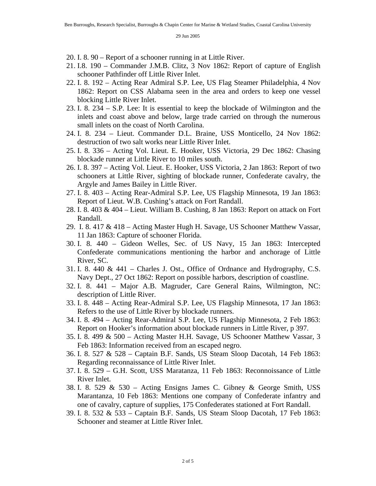20. I. 8. 90 – Report of a schooner running in at Little River.

- 21. I.8. 190 Commander J.M.B. Clitz, 3 Nov 1862: Report of capture of English schooner Pathfinder off Little River Inlet.
- 22. I. 8. 192 Acting Rear Admiral S.P. Lee, US Flag Steamer Philadelphia, 4 Nov 1862: Report on CSS Alabama seen in the area and orders to keep one vessel blocking Little River Inlet.
- 23. I. 8. 234 S.P. Lee: It is essential to keep the blockade of Wilmington and the inlets and coast above and below, large trade carried on through the numerous small inlets on the coast of North Carolina.
- 24. I. 8. 234 Lieut. Commander D.L. Braine, USS Monticello, 24 Nov 1862: destruction of two salt works near Little River Inlet.
- 25. I. 8. 336 Acting Vol. Lieut. E. Hooker, USS Victoria, 29 Dec 1862: Chasing blockade runner at Little River to 10 miles south.
- 26. I. 8. 397 Acting Vol. Lieut. E. Hooker, USS Victoria, 2 Jan 1863: Report of two schooners at Little River, sighting of blockade runner, Confederate cavalry, the Argyle and James Bailey in Little River.
- 27. I. 8. 403 Acting Rear-Admiral S.P. Lee, US Flagship Minnesota, 19 Jan 1863: Report of Lieut. W.B. Cushing's attack on Fort Randall.
- 28. I. 8. 403 & 404 Lieut. William B. Cushing, 8 Jan 1863: Report on attack on Fort Randall.
- 29. I. 8. 417 & 418 Acting Master Hugh H. Savage, US Schooner Matthew Vassar, 11 Jan 1863: Capture of schooner Florida.
- 30. I. 8. 440 Gideon Welles, Sec. of US Navy, 15 Jan 1863: Intercepted Confederate communications mentioning the harbor and anchorage of Little River, SC.
- 31. I. 8. 440 & 441 Charles J. Ost., Office of Ordnance and Hydrography, C.S. Navy Dept., 27 Oct 1862: Report on possible harbors, description of coastline.
- 32. I. 8. 441 Major A.B. Magruder, Care General Rains, Wilmington, NC: description of Little River.
- 33. I. 8. 448 Acting Rear-Admiral S.P. Lee, US Flagship Minnesota, 17 Jan 1863: Refers to the use of Little River by blockade runners.
- 34. I. 8. 494 Acting Rear-Admiral S.P. Lee, US Flagship Minnesota, 2 Feb 1863: Report on Hooker's information about blockade runners in Little River, p 397.
- 35. I. 8. 499 & 500 Acting Master H.H. Savage, US Schooner Matthew Vassar, 3 Feb 1863: Information received from an escaped negro.
- 36. I. 8. 527 & 528 Captain B.F. Sands, US Steam Sloop Dacotah, 14 Feb 1863: Regarding reconnaissance of Little River Inlet.
- 37. I. 8. 529 G.H. Scott, USS Maratanza, 11 Feb 1863: Reconnoissance of Little River Inlet.
- 38. I. 8. 529 & 530 Acting Ensigns James C. Gibney & George Smith, USS Marantanza, 10 Feb 1863: Mentions one company of Confederate infantry and one of cavalry, capture of supplies, 175 Confederates stationed at Fort Randall.
- 39. I. 8. 532 & 533 Captain B.F. Sands, US Steam Sloop Dacotah, 17 Feb 1863: Schooner and steamer at Little River Inlet.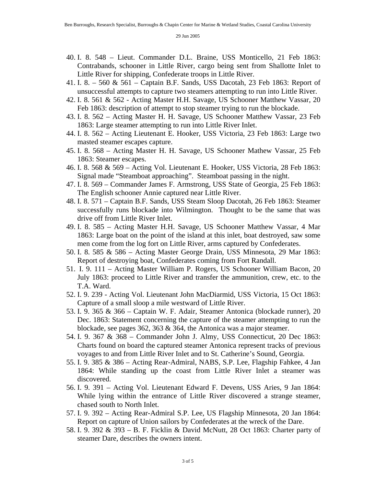- 40. I. 8. 548 Lieut. Commander D.L. Braine, USS Monticello, 21 Feb 1863: Contrabands, schooner in Little River, cargo being sent from Shallotte Inlet to Little River for shipping, Confederate troops in Little River.
- 41. I. 8. 560 & 561 Captain B.F. Sands, USS Dacotah, 23 Feb 1863: Report of unsuccessful attempts to capture two steamers attempting to run into Little River.
- 42. I. 8. 561 & 562 Acting Master H.H. Savage, US Schooner Matthew Vassar, 20 Feb 1863: description of attempt to stop steamer trying to run the blockade.
- 43. I. 8. 562 Acting Master H. H. Savage, US Schooner Matthew Vassar, 23 Feb 1863: Large steamer attempting to run into Little River Inlet.
- 44. I. 8. 562 Acting Lieutenant E. Hooker, USS Victoria, 23 Feb 1863: Large two masted steamer escapes capture.
- 45. I. 8. 568 Acting Master H. H. Savage, US Schooner Mathew Vassar, 25 Feb 1863: Steamer escapes.
- 46. I. 8. 568 & 569 Acting Vol. Lieutenant E. Hooker, USS Victoria, 28 Feb 1863: Signal made "Steamboat approaching". Steamboat passing in the night.
- 47. I. 8. 569 Commander James F. Armstrong, USS State of Georgia, 25 Feb 1863: The English schooner Annie captured near Little River.
- 48. I. 8. 571 Captain B.F. Sands, USS Steam Sloop Dacotah, 26 Feb 1863: Steamer successfully runs blockade into Wilmington. Thought to be the same that was drive off from Little River Inlet.
- 49. I. 8. 585 Acting Master H.H. Savage, US Schooner Matthew Vassar, 4 Mar 1863: Large boat on the point of the island at this inlet, boat destroyed, saw some men come from the log fort on Little River, arms captured by Confederates.
- 50. I. 8. 585 & 586 Acting Master George Drain, USS Minnesota, 29 Mar 1863: Report of destroying boat, Confederates coming from Fort Randall.
- 51. I. 9. 111 Acting Master William P. Rogers, US Schooner William Bacon, 20 July 1863: proceed to Little River and transfer the ammunition, crew, etc. to the T.A. Ward.
- 52. I. 9. 239 Acting Vol. Lieutenant John MacDiarmid, USS Victoria, 15 Oct 1863: Capture of a small sloop a mile westward of Little River.
- 53. I. 9. 365 & 366 Captain W. F. Adair, Steamer Antonica (blockade runner), 20 Dec. 1863: Statement concerning the capture of the steamer attempting to run the blockade, see pages  $362$ ,  $363 \& 364$ , the Antonica was a major steamer.
- 54. I. 9. 367 & 368 Commander John J. Almy, USS Connecticut, 20 Dec 1863: Charts found on board the captured steamer Antonica represent tracks of previous voyages to and from Little River Inlet and to St. Catherine's Sound, Georgia.
- 55. I. 9. 385 & 386 Acting Rear-Admiral, NABS, S.P. Lee, Flagship Fahkee, 4 Jan 1864: While standing up the coast from Little River Inlet a steamer was discovered.
- 56. I. 9. 391 Acting Vol. Lieutenant Edward F. Devens, USS Aries, 9 Jan 1864: While lying within the entrance of Little River discovered a strange steamer, chased south to North Inlet.
- 57. I. 9. 392 Acting Rear-Admiral S.P. Lee, US Flagship Minnesota, 20 Jan 1864: Report on capture of Union sailors by Confederates at the wreck of the Dare.
- 58. I. 9. 392 & 393 B. F. Ficklin & David McNutt, 28 Oct 1863: Charter party of steamer Dare, describes the owners intent.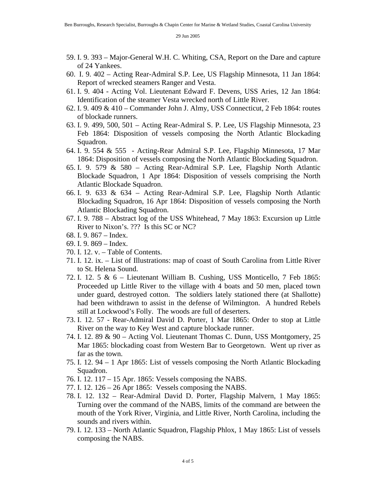- 59. I. 9. 393 Major-General W.H. C. Whiting, CSA, Report on the Dare and capture of 24 Yankees.
- 60. I. 9. 402 Acting Rear-Admiral S.P. Lee, US Flagship Minnesota, 11 Jan 1864: Report of wrecked steamers Ranger and Vesta.
- 61. I. 9. 404 Acting Vol. Lieutenant Edward F. Devens, USS Aries, 12 Jan 1864: Identification of the steamer Vesta wrecked north of Little River.
- 62. I. 9. 409 & 410 Commander John J. Almy, USS Connecticut, 2 Feb 1864: routes of blockade runners.
- 63. I. 9. 499, 500, 501 Acting Rear-Admiral S. P. Lee, US Flagship Minnesota, 23 Feb 1864: Disposition of vessels composing the North Atlantic Blockading Squadron.
- 64. I. 9. 554 & 555 Acting-Rear Admiral S.P. Lee, Flagship Minnesota, 17 Mar 1864: Disposition of vessels composing the North Atlantic Blockading Squadron.
- 65. I. 9. 579 & 580 Acting Rear-Admiral S.P. Lee, Flagship North Atlantic Blockade Squadron, 1 Apr 1864: Disposition of vessels comprising the North Atlantic Blockade Squadron.
- 66. I. 9. 633 & 634 Acting Rear-Admiral S.P. Lee, Flagship North Atlantic Blockading Squadron, 16 Apr 1864: Disposition of vessels composing the North Atlantic Blockading Squadron.
- 67. I. 9. 788 Abstract log of the USS Whitehead, 7 May 1863: Excursion up Little River to Nixon's. ??? Is this SC or NC?
- 68. I. 9. 867 Index.
- 69. I. 9. 869 Index.
- 70. I. 12. v. Table of Contents.
- 71. I. 12. ix. List of Illustrations: map of coast of South Carolina from Little River to St. Helena Sound.
- 72. I. 12. 5 & 6 Lieutenant William B. Cushing, USS Monticello, 7 Feb 1865: Proceeded up Little River to the village with 4 boats and 50 men, placed town under guard, destroyed cotton. The soldiers lately stationed there (at Shallotte) had been withdrawn to assist in the defense of Wilmington. A hundred Rebels still at Lockwood's Folly. The woods are full of deserters.
- 73. I. 12. 57 Rear-Admiral David D. Porter, 1 Mar 1865: Order to stop at Little River on the way to Key West and capture blockade runner.
- 74. I. 12. 89 & 90 Acting Vol. Lieutenant Thomas C. Dunn, USS Montgomery, 25 Mar 1865: blockading coast from Western Bar to Georgetown. Went up river as far as the town.
- 75. I. 12. 94 1 Apr 1865: List of vessels composing the North Atlantic Blockading Squadron.
- 76. I. 12. 117 15 Apr. 1865: Vessels composing the NABS.
- 77. I. 12. 126 26 Apr 1865: Vessels composing the NABS.
- 78. I. 12. 132 Rear-Admiral David D. Porter, Flagship Malvern, 1 May 1865: Turning over the command of the NABS, limits of the command are between the mouth of the York River, Virginia, and Little River, North Carolina, including the sounds and rivers within.
- 79. I. 12. 133 North Atlantic Squadron, Flagship Phlox, 1 May 1865: List of vessels composing the NABS.